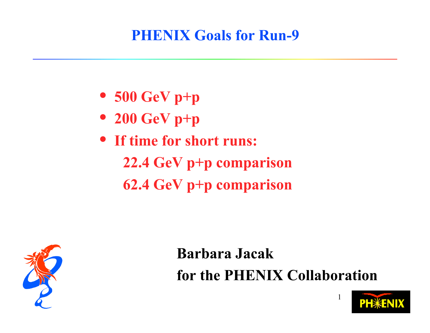#### **PHENIX Goals for Run-9**

- **500 GeV p+p**
- **200 GeV p+p**
- **If time for short runs:**
	- **22.4 GeV p+p comparison 62.4 GeV p+p comparison**



**Barbara Jacak for the PHENIX Collaboration**

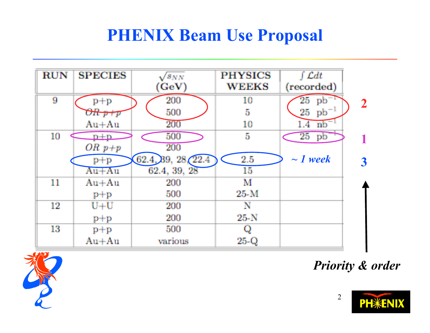#### **PHENIX Beam Use Proposal**





*Priority & order*

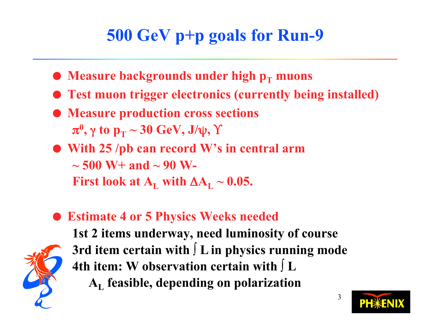# **500 GeV p+p goals for Run-9**

- **Measure backgrounds under high p<sub>T</sub> muons**
- **Test muon trigger electronics (currently being installed)**
- **Measure production cross sections**  $\boldsymbol{\pi^0}, \boldsymbol{\gamma}$  to  $\mathbf{p_T} \sim 30 \; \textbf{GeV}, \, \mathbf{J/ψ}, \, \boldsymbol{\Upsilon}$
- **With 25 /pb can record W's in central arm ~ 500 W+ and ~ 90 W-First look at**  $A_L$  **with**  $\Delta A_L \sim 0.05$ **.**
- **Estimate 4 or 5 Physics Weeks needed**



**1st 2 items underway, need luminosity of course 3rd item certain with ∫ L in physics running mode 4th item: W observation certain with ∫ L AL feasible, depending on polarization**

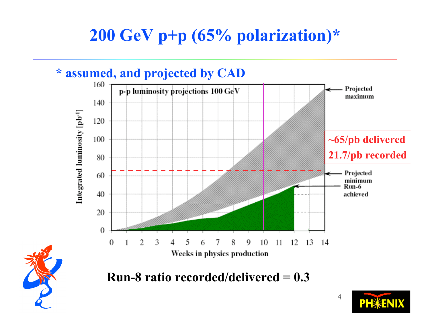# **200 GeV p+p (65% polarization)\***

#### **\* assumed, and projected by CAD**





**PH**\*ENIX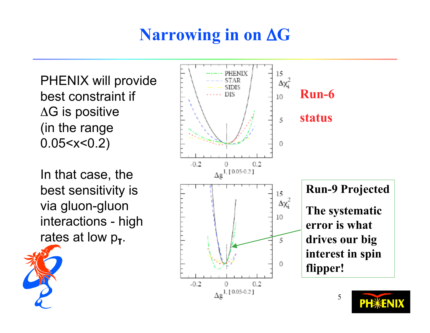# **Narrowing in on** Δ**G**

PHENIX will provide best constraint if ΔG is positive (in the range 0.05<x<0.2)

In that case, the best sensitivity is via gluon-gluon interactions - high rates at low  $p_T$ .

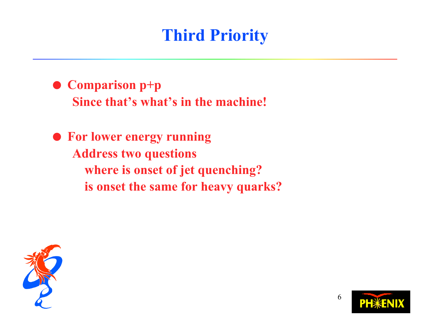# **Third Priority**

● Comparison p+p **Since that's what's in the machine!**

 **For lower energy running Address two questions where is onset of jet quenching? is onset the same for heavy quarks?**



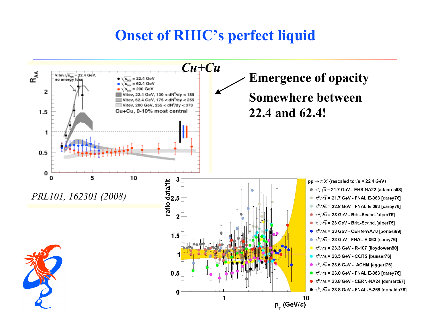#### **Onset of RHIC's perfect liquid**

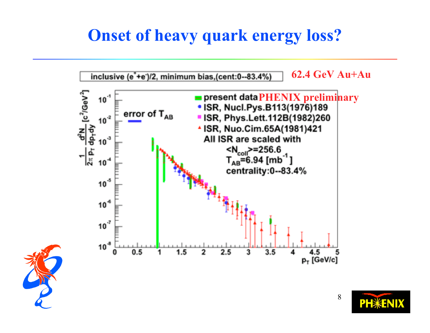### **Onset of heavy quark energy loss?**